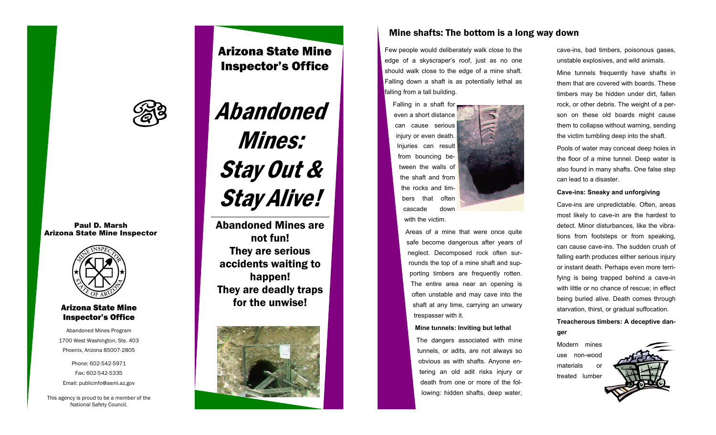

Paul D. Marsh Arizona State Mine Inspector



## Arizona State Mine Inspector's Office

Abandoned Mines Program 1700 West Washington, Ste. 403 Phoenix, Arizona 85007-2805

Phone: 602-542-5971 Fax: 602-542-5335 Email: publicinfo@asmi.az.gov

This agency is proud to be a member of the National Safety Council.

## Arizona State Mine Inspector's Office

# Abandoned Mines: Stay Out & Stay Alive!

Abandoned Mines are not fun! They are serious accidents waiting to happen! They are deadly traps for the unwise!



## Mine shafts: The bottom is a long way down

Few people would deliberately walk close to the edge of a skyscraper's roof, just as no one should walk close to the edge of a mine shaft. Falling down a shaft is as potentially lethal as falling from a tall building.

Falling in a shaft for even a short distance can cause serious iniury or even death. Injuries can result from bouncing between the walls of the shaft and from the rocks and timbers that often cascade down with the victim.

> Areas of a mine that were once quite safe become dangerous after years of neglect. Decomposed rock often surrounds the top of a mine shaft and supporting timbers are frequently rotten. The entire area near an opening is often unstable and may cave into the shaft at any time, carrying an unwary trespasser with it.

#### **Mine tunnels: Inviting but lethal**

The dangers associated with mine tunnels, or adits, are not always so obvious as with shafts. Anyone entering an old adit risks injury or death from one or more of the following: hidden shafts, deep water,

cave-ins, bad timbers, poisonous gases, unstable explosives, and wild animals.

Mine tunnels frequently have shafts in them that are covered with boards. These timbers may be hidden under dirt, fallen rock, or other debris. The weight of a person on these old boards might cause them to collapse without warning, sending the victim tumbling deep into the shaft.

Pools of water may conceal deep holes in the floor of a mine tunnel. Deep water is also found in many shafts. One false step can lead to a disaster.

#### **Cave-ins: Sneaky and unforgiving**

Cave-ins are unpredictable. Often, areas most likely to cave-in are the hardest to detect. Minor disturbances, like the vibrations from footsteps or from speaking, can cause cave-ins. The sudden crush of falling earth produces either serious injury or instant death. Perhaps even more terrifying is being trapped behind a cave-in with little or no chance of rescue; in effect being buried alive. Death comes through starvation, thirst, or gradual suffocation.

### **Treacherous timbers: A deceptive danger**

Modern mines use non-wood materials or treated lumber